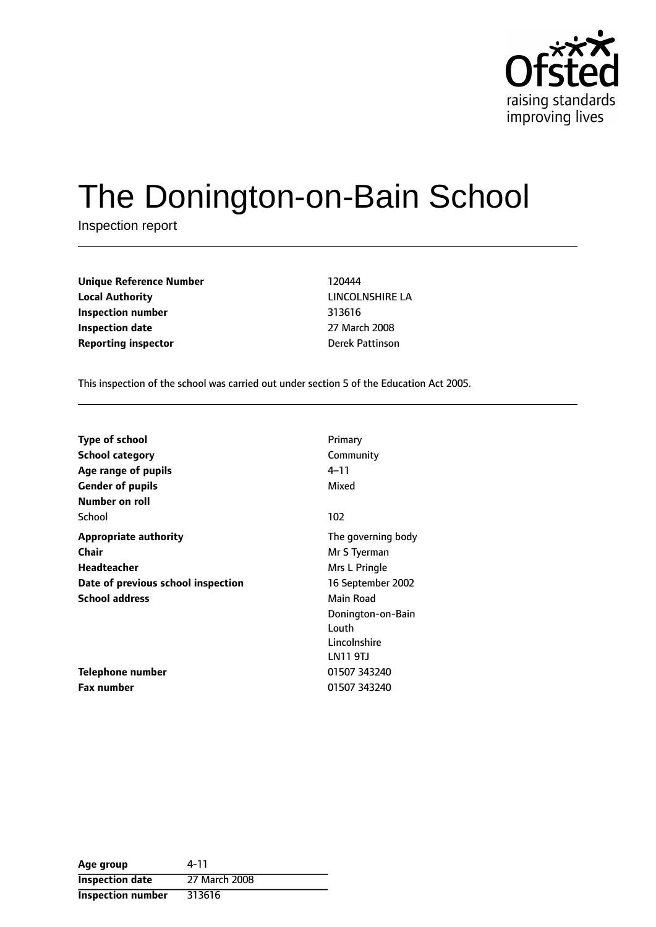

# The Donington-on-Bain School

Inspection report

**Unique Reference Number** 120444 **Local Authority** LINCOLNSHIRE LA **Inspection number** 313616 **Inspection date** 27 March 2008 **Reporting inspector Derek Pattinson** 

This inspection of the school was carried out under section 5 of the Education Act 2005.

| <b>Type of school</b>              | Primary            |
|------------------------------------|--------------------|
| School category                    | Community          |
| Age range of pupils                | 4–11               |
| <b>Gender of pupils</b>            | Mixed              |
| Number on roll                     |                    |
| School                             | 102                |
| <b>Appropriate authority</b>       | The governing body |
| Chair                              | Mr S Tyerman       |
| <b>Headteacher</b>                 | Mrs L Pringle      |
| Date of previous school inspection | 16 September 2002  |
| <b>School address</b>              | Main Road          |
|                                    | Donington-on-Bain  |
|                                    | Louth              |
|                                    | Lincolnshire       |
|                                    | LN11 9TJ           |
| <b>Telephone number</b>            | 01507 343240       |
| <b>Fax number</b>                  | 01507 343240       |

| Age group                | 4-11          |
|--------------------------|---------------|
| <b>Inspection date</b>   | 27 March 2008 |
| <b>Inspection number</b> | 313616        |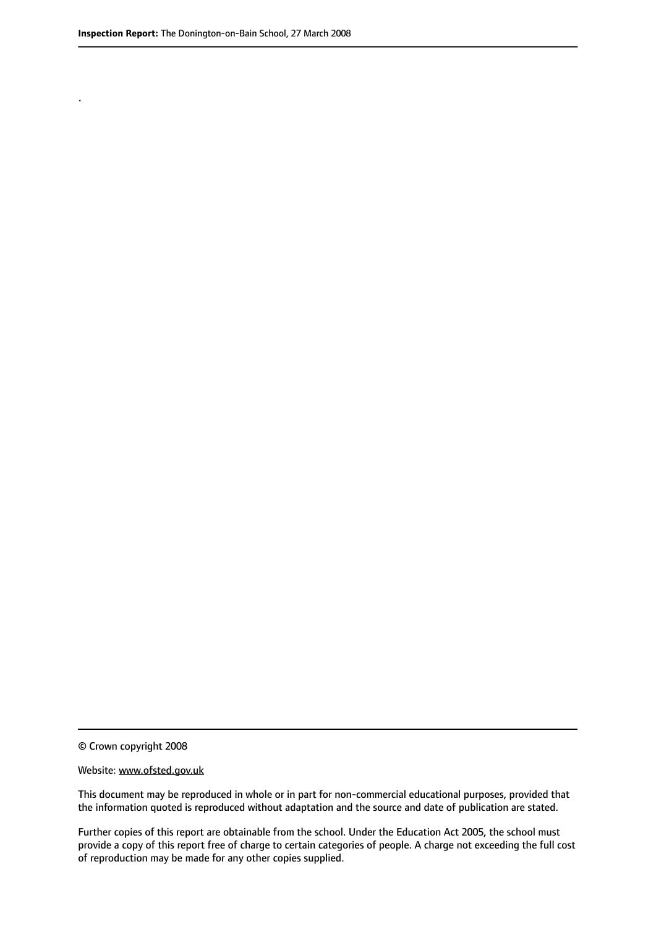.

© Crown copyright 2008

#### Website: www.ofsted.gov.uk

This document may be reproduced in whole or in part for non-commercial educational purposes, provided that the information quoted is reproduced without adaptation and the source and date of publication are stated.

Further copies of this report are obtainable from the school. Under the Education Act 2005, the school must provide a copy of this report free of charge to certain categories of people. A charge not exceeding the full cost of reproduction may be made for any other copies supplied.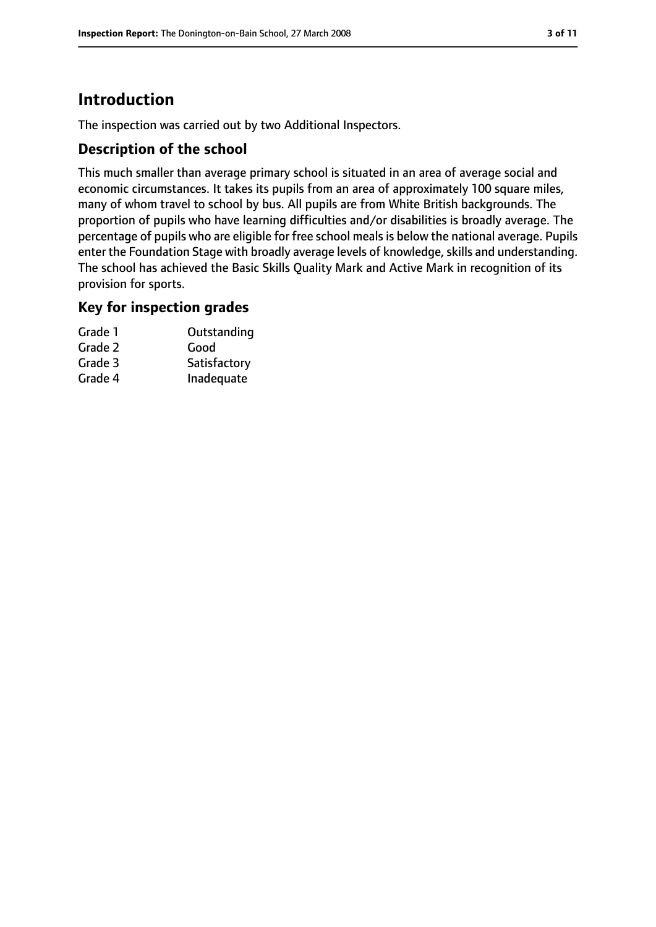# **Introduction**

The inspection was carried out by two Additional Inspectors.

## **Description of the school**

This much smaller than average primary school is situated in an area of average social and economic circumstances. It takes its pupils from an area of approximately 100 square miles, many of whom travel to school by bus. All pupils are from White British backgrounds. The proportion of pupils who have learning difficulties and/or disabilities is broadly average. The percentage of pupils who are eligible for free school meals is below the national average. Pupils enter the Foundation Stage with broadly average levels of knowledge, skills and understanding. The school has achieved the Basic Skills Quality Mark and Active Mark in recognition of its provision for sports.

### **Key for inspection grades**

| Grade 1 | Outstanding  |
|---------|--------------|
| Grade 2 | Good         |
| Grade 3 | Satisfactory |
| Grade 4 | Inadequate   |
|         |              |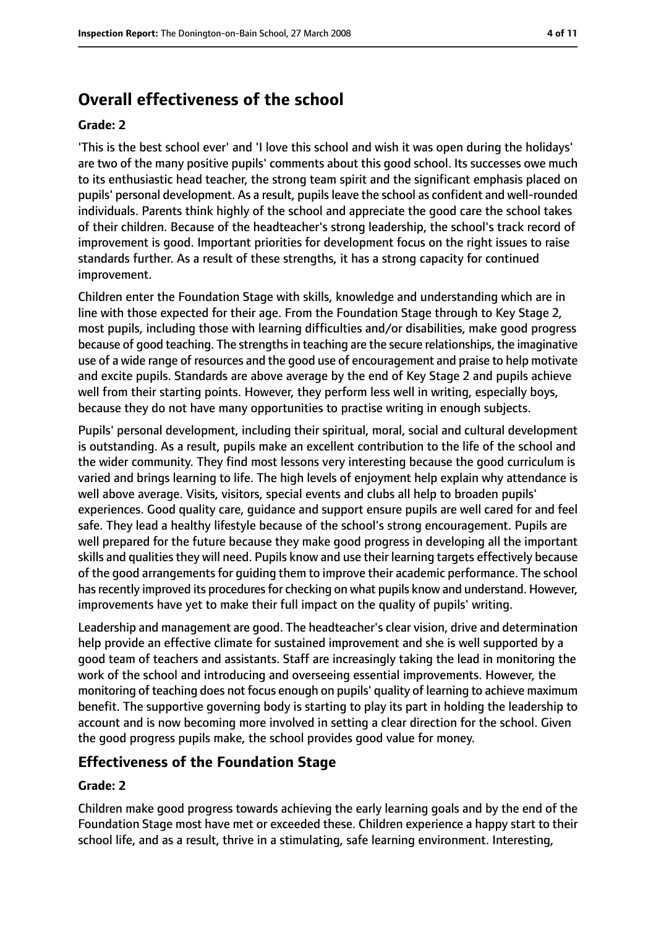# **Overall effectiveness of the school**

#### **Grade: 2**

'This is the best school ever' and 'I love this school and wish it was open during the holidays' are two of the many positive pupils' comments about this good school. Its successes owe much to its enthusiastic head teacher, the strong team spirit and the significant emphasis placed on pupils' personal development. As a result, pupils leave the school as confident and well-rounded individuals. Parents think highly of the school and appreciate the good care the school takes of their children. Because of the headteacher's strong leadership, the school's track record of improvement is good. Important priorities for development focus on the right issues to raise standards further. As a result of these strengths, it has a strong capacity for continued improvement.

Children enter the Foundation Stage with skills, knowledge and understanding which are in line with those expected for their age. From the Foundation Stage through to Key Stage 2, most pupils, including those with learning difficulties and/or disabilities, make good progress because of good teaching. The strengths in teaching are the secure relationships, the imaginative use of a wide range of resources and the good use of encouragement and praise to help motivate and excite pupils. Standards are above average by the end of Key Stage 2 and pupils achieve well from their starting points. However, they perform less well in writing, especially boys, because they do not have many opportunities to practise writing in enough subjects.

Pupils' personal development, including their spiritual, moral, social and cultural development is outstanding. As a result, pupils make an excellent contribution to the life of the school and the wider community. They find most lessons very interesting because the good curriculum is varied and brings learning to life. The high levels of enjoyment help explain why attendance is well above average. Visits, visitors, special events and clubs all help to broaden pupils' experiences. Good quality care, guidance and support ensure pupils are well cared for and feel safe. They lead a healthy lifestyle because of the school's strong encouragement. Pupils are well prepared for the future because they make good progress in developing all the important skills and qualities they will need. Pupils know and use their learning targets effectively because of the good arrangements for guiding them to improve their academic performance. The school has recently improved its procedures for checking on what pupils know and understand. However, improvements have yet to make their full impact on the quality of pupils' writing.

Leadership and management are good. The headteacher's clear vision, drive and determination help provide an effective climate for sustained improvement and she is well supported by a good team of teachers and assistants. Staff are increasingly taking the lead in monitoring the work of the school and introducing and overseeing essential improvements. However, the monitoring of teaching does not focus enough on pupils' quality of learning to achieve maximum benefit. The supportive governing body is starting to play its part in holding the leadership to account and is now becoming more involved in setting a clear direction for the school. Given the good progress pupils make, the school provides good value for money.

## **Effectiveness of the Foundation Stage**

#### **Grade: 2**

Children make good progress towards achieving the early learning goals and by the end of the Foundation Stage most have met or exceeded these. Children experience a happy start to their school life, and as a result, thrive in a stimulating, safe learning environment. Interesting,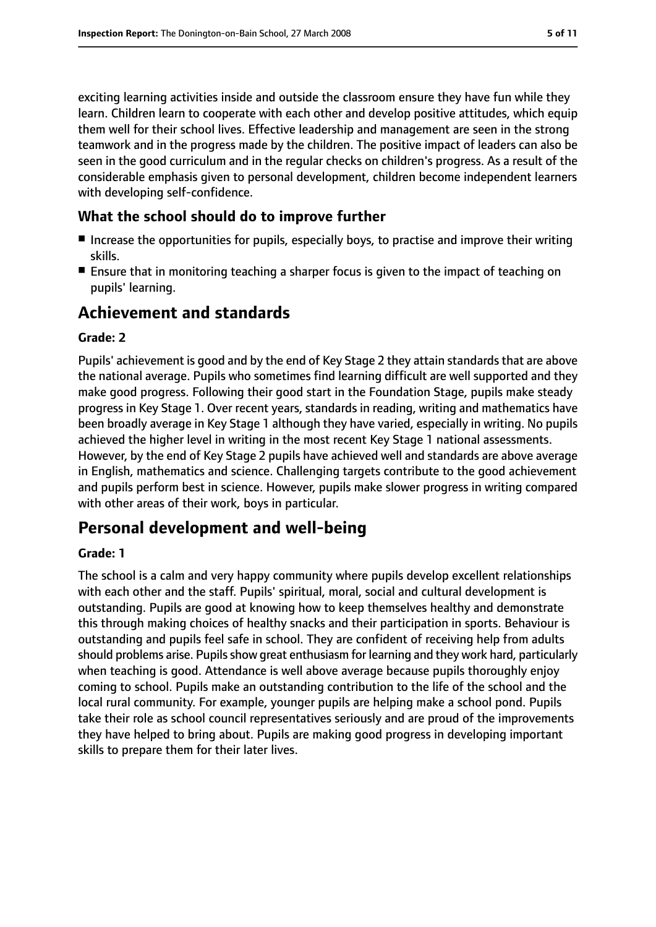exciting learning activities inside and outside the classroom ensure they have fun while they learn. Children learn to cooperate with each other and develop positive attitudes, which equip them well for their school lives. Effective leadership and management are seen in the strong teamwork and in the progress made by the children. The positive impact of leaders can also be seen in the good curriculum and in the regular checks on children's progress. As a result of the considerable emphasis given to personal development, children become independent learners with developing self-confidence.

## **What the school should do to improve further**

- Increase the opportunities for pupils, especially boys, to practise and improve their writing skills.
- Ensure that in monitoring teaching a sharper focus is given to the impact of teaching on pupils' learning.

# **Achievement and standards**

#### **Grade: 2**

Pupils' achievement is good and by the end of Key Stage 2 they attain standards that are above the national average. Pupils who sometimes find learning difficult are well supported and they make good progress. Following their good start in the Foundation Stage, pupils make steady progress in Key Stage 1. Over recent years, standards in reading, writing and mathematics have been broadly average in Key Stage 1 although they have varied, especially in writing. No pupils achieved the higher level in writing in the most recent Key Stage 1 national assessments. However, by the end of Key Stage 2 pupils have achieved well and standards are above average in English, mathematics and science. Challenging targets contribute to the good achievement and pupils perform best in science. However, pupils make slower progress in writing compared with other areas of their work, boys in particular.

# **Personal development and well-being**

#### **Grade: 1**

The school is a calm and very happy community where pupils develop excellent relationships with each other and the staff. Pupils' spiritual, moral, social and cultural development is outstanding. Pupils are good at knowing how to keep themselves healthy and demonstrate this through making choices of healthy snacks and their participation in sports. Behaviour is outstanding and pupils feel safe in school. They are confident of receiving help from adults should problems arise. Pupils show great enthusiasm for learning and they work hard, particularly when teaching is good. Attendance is well above average because pupils thoroughly enjoy coming to school. Pupils make an outstanding contribution to the life of the school and the local rural community. For example, younger pupils are helping make a school pond. Pupils take their role as school council representatives seriously and are proud of the improvements they have helped to bring about. Pupils are making good progress in developing important skills to prepare them for their later lives.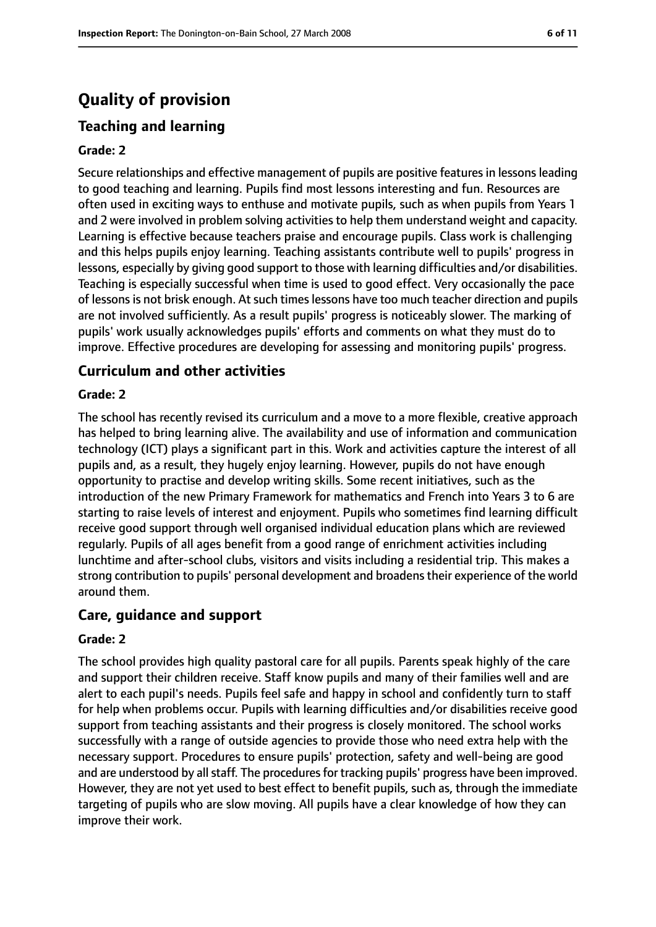# **Quality of provision**

# **Teaching and learning**

#### **Grade: 2**

Secure relationships and effective management of pupils are positive features in lessons leading to good teaching and learning. Pupils find most lessons interesting and fun. Resources are often used in exciting ways to enthuse and motivate pupils, such as when pupils from Years 1 and 2 were involved in problem solving activities to help them understand weight and capacity. Learning is effective because teachers praise and encourage pupils. Class work is challenging and this helps pupils enjoy learning. Teaching assistants contribute well to pupils' progress in lessons, especially by giving good support to those with learning difficulties and/or disabilities. Teaching is especially successful when time is used to good effect. Very occasionally the pace of lessons is not brisk enough. At such times lessons have too much teacher direction and pupils are not involved sufficiently. As a result pupils' progress is noticeably slower. The marking of pupils' work usually acknowledges pupils' efforts and comments on what they must do to improve. Effective procedures are developing for assessing and monitoring pupils' progress.

# **Curriculum and other activities**

#### **Grade: 2**

The school has recently revised its curriculum and a move to a more flexible, creative approach has helped to bring learning alive. The availability and use of information and communication technology (ICT) plays a significant part in this. Work and activities capture the interest of all pupils and, as a result, they hugely enjoy learning. However, pupils do not have enough opportunity to practise and develop writing skills. Some recent initiatives, such as the introduction of the new Primary Framework for mathematics and French into Years 3 to 6 are starting to raise levels of interest and enjoyment. Pupils who sometimes find learning difficult receive good support through well organised individual education plans which are reviewed regularly. Pupils of all ages benefit from a good range of enrichment activities including lunchtime and after-school clubs, visitors and visits including a residential trip. This makes a strong contribution to pupils' personal development and broadens their experience of the world around them.

## **Care, guidance and support**

#### **Grade: 2**

The school provides high quality pastoral care for all pupils. Parents speak highly of the care and support their children receive. Staff know pupils and many of their families well and are alert to each pupil's needs. Pupils feel safe and happy in school and confidently turn to staff for help when problems occur. Pupils with learning difficulties and/or disabilities receive good support from teaching assistants and their progress is closely monitored. The school works successfully with a range of outside agencies to provide those who need extra help with the necessary support. Procedures to ensure pupils' protection, safety and well-being are good and are understood by all staff. The procedures for tracking pupils' progress have been improved. However, they are not yet used to best effect to benefit pupils, such as, through the immediate targeting of pupils who are slow moving. All pupils have a clear knowledge of how they can improve their work.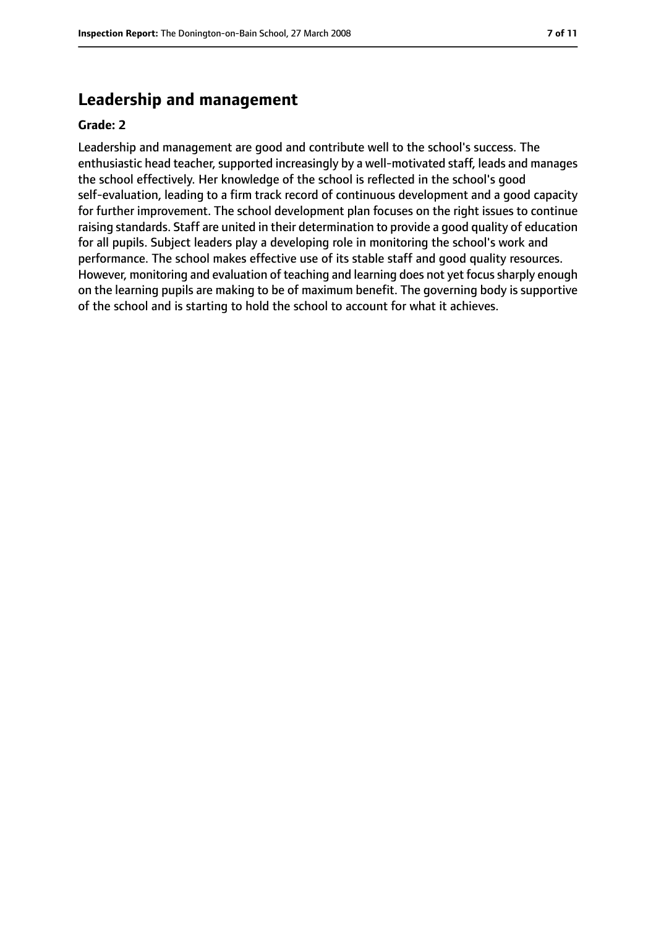# **Leadership and management**

#### **Grade: 2**

Leadership and management are good and contribute well to the school's success. The enthusiastic head teacher, supported increasingly by a well-motivated staff, leads and manages the school effectively. Her knowledge of the school is reflected in the school's good self-evaluation, leading to a firm track record of continuous development and a good capacity for further improvement. The school development plan focuses on the right issues to continue raising standards. Staff are united in their determination to provide a good quality of education for all pupils. Subject leaders play a developing role in monitoring the school's work and performance. The school makes effective use of its stable staff and good quality resources. However, monitoring and evaluation of teaching and learning does not yet focus sharply enough on the learning pupils are making to be of maximum benefit. The governing body is supportive of the school and is starting to hold the school to account for what it achieves.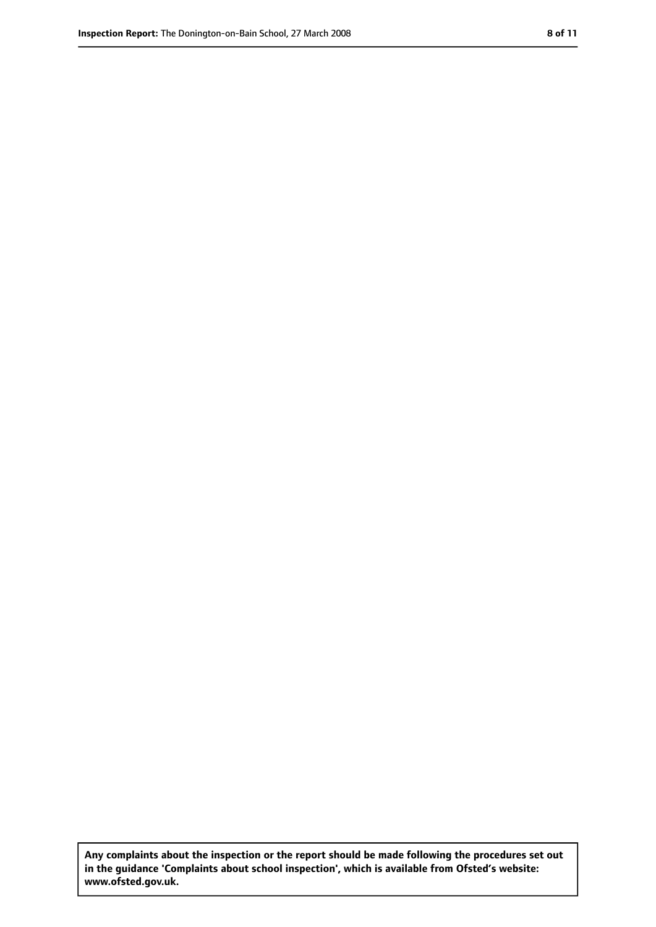**Any complaints about the inspection or the report should be made following the procedures set out in the guidance 'Complaints about school inspection', which is available from Ofsted's website: www.ofsted.gov.uk.**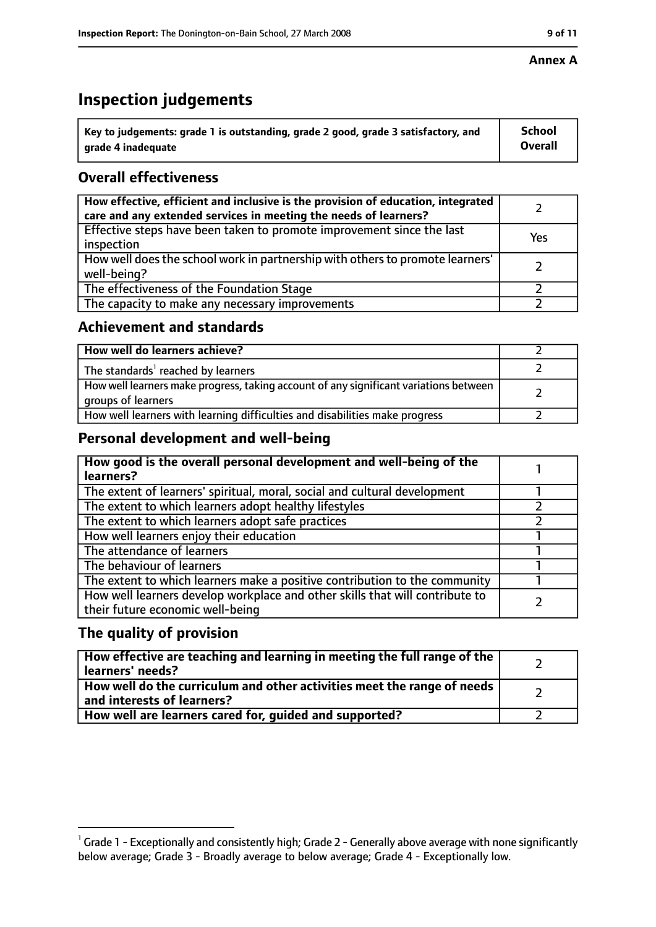#### **Annex A**

# **Inspection judgements**

| $^{\circ}$ Key to judgements: grade 1 is outstanding, grade 2 good, grade 3 satisfactory, and | <b>School</b>  |
|-----------------------------------------------------------------------------------------------|----------------|
| arade 4 inadequate                                                                            | <b>Overall</b> |

# **Overall effectiveness**

| How effective, efficient and inclusive is the provision of education, integrated<br>care and any extended services in meeting the needs of learners? |     |
|------------------------------------------------------------------------------------------------------------------------------------------------------|-----|
| Effective steps have been taken to promote improvement since the last<br>inspection                                                                  | Yes |
| How well does the school work in partnership with others to promote learners'<br>well-being?                                                         |     |
| The effectiveness of the Foundation Stage                                                                                                            |     |
| The capacity to make any necessary improvements                                                                                                      |     |

## **Achievement and standards**

| How well do learners achieve?                                                                               |  |
|-------------------------------------------------------------------------------------------------------------|--|
| The standards <sup>1</sup> reached by learners                                                              |  |
| How well learners make progress, taking account of any significant variations between<br>groups of learners |  |
| How well learners with learning difficulties and disabilities make progress                                 |  |

# **Personal development and well-being**

| How good is the overall personal development and well-being of the<br>learners?                                  |  |
|------------------------------------------------------------------------------------------------------------------|--|
| The extent of learners' spiritual, moral, social and cultural development                                        |  |
| The extent to which learners adopt healthy lifestyles                                                            |  |
| The extent to which learners adopt safe practices                                                                |  |
| How well learners enjoy their education                                                                          |  |
| The attendance of learners                                                                                       |  |
| The behaviour of learners                                                                                        |  |
| The extent to which learners make a positive contribution to the community                                       |  |
| How well learners develop workplace and other skills that will contribute to<br>their future economic well-being |  |

# **The quality of provision**

| How effective are teaching and learning in meeting the full range of the<br>learners' needs?          |  |
|-------------------------------------------------------------------------------------------------------|--|
| How well do the curriculum and other activities meet the range of needs<br>and interests of learners? |  |
| How well are learners cared for, guided and supported?                                                |  |

 $^1$  Grade 1 - Exceptionally and consistently high; Grade 2 - Generally above average with none significantly below average; Grade 3 - Broadly average to below average; Grade 4 - Exceptionally low.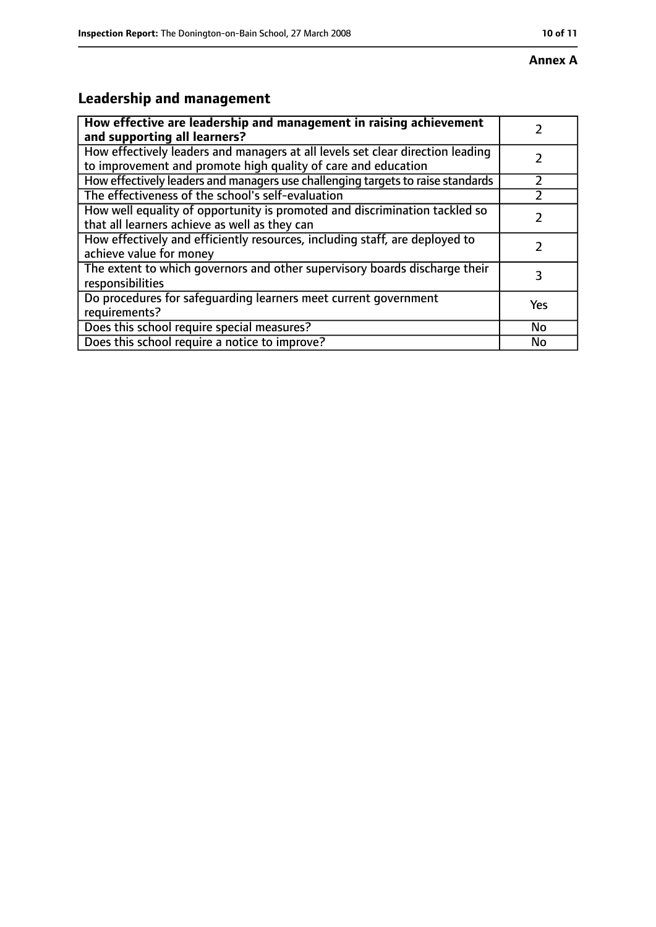# **Leadership and management**

| How effective are leadership and management in raising achievement<br>and supporting all learners?                                              |     |
|-------------------------------------------------------------------------------------------------------------------------------------------------|-----|
| How effectively leaders and managers at all levels set clear direction leading<br>to improvement and promote high quality of care and education |     |
| How effectively leaders and managers use challenging targets to raise standards                                                                 |     |
| The effectiveness of the school's self-evaluation                                                                                               |     |
| How well equality of opportunity is promoted and discrimination tackled so<br>that all learners achieve as well as they can                     |     |
| How effectively and efficiently resources, including staff, are deployed to<br>achieve value for money                                          |     |
| The extent to which governors and other supervisory boards discharge their<br>responsibilities                                                  | 3   |
| Do procedures for safequarding learners meet current government<br>requirements?                                                                | Yes |
| Does this school require special measures?                                                                                                      | No  |
| Does this school require a notice to improve?                                                                                                   | No  |